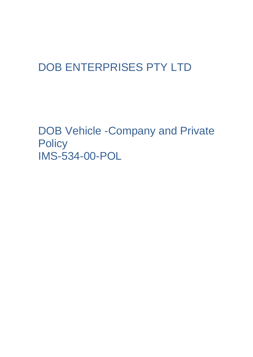# DOB ENTERPRISES PTY LTD

DOB Vehicle -Company and Private **Policy** IMS-534-00-POL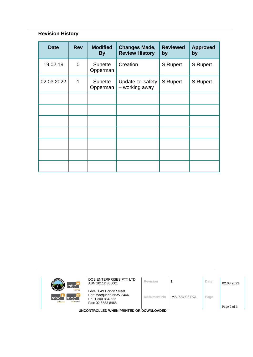# **Revision History**

| <b>Date</b> | <b>Rev</b>     | <b>Modified</b><br><b>By</b> | <b>Changes Made,</b><br><b>Review History</b> | <b>Reviewed</b><br>by | <b>Approved</b><br>by |
|-------------|----------------|------------------------------|-----------------------------------------------|-----------------------|-----------------------|
| 19.02.19    | $\overline{0}$ | Sunette<br>Opperman          | Creation                                      | <b>S</b> Rupert       | <b>S</b> Rupert       |
| 02.03.2022  | 1              | Sunette<br>Opperman          | Update to safety<br>- working away            | <b>S</b> Rupert       | S Rupert              |
|             |                |                              |                                               |                       |                       |
|             |                |                              |                                               |                       |                       |
|             |                |                              |                                               |                       |                       |
|             |                |                              |                                               |                       |                       |
|             |                |                              |                                               |                       |                       |
|             |                |                              |                                               |                       |                       |
|             |                |                              |                                               |                       |                       |

| mbc <sup>-</sup>                                             | DOB ENTERPRISES PTY LTD<br>ABN 20112 866001                                                   | Revision     |                | Date | 02.03.2022  |
|--------------------------------------------------------------|-----------------------------------------------------------------------------------------------|--------------|----------------|------|-------------|
| <b>Iclocur hire</b><br>mbc`<br>Imbo<br>mtc<br>sursing agency | Level 1 49 Horton Street<br>Port Macquarie NSW 2444<br>Ph: 1 300 854 622<br>Fax: 02 6583 8468 | Document No. | IMS-534-02-POL | Page |             |
|                                                              | UNCONTROLLED WHEN PRINTED OR DOWNLOADED                                                       |              |                |      | Page 2 of 6 |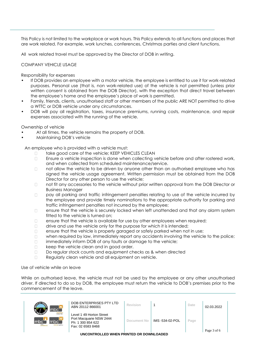This Policy is not limited to the workplace or work hours. This Policy extends to all functions and places that are work related. For example, work lunches, conferences, Christmas parties and client functions.

All work related travel must be approved by the Director of DOB in writing.

# COMPANY VEHICLE USAGE

Responsibility for expenses

- If DOB provides an employee with a motor vehicle, the employee is entitled to use it for work-related purposes. Personal use (that is, non work-related use) of the vehicle is not permitted (unless prior written consent is obtained from the DOB Director), with the exception that direct travel between the employee's home and the employee's place of work is permitted.
- Family, friends, clients, unauthorised staff or other members of the public ARE NOT permitted to drive a WTTC or DOB vehicle under any circumstances.
- DOB will pay all registration, taxes, insurance premiums, running costs, maintenance, and repair expenses associated with the running of the vehicle.

Ownership of vehicle

- At all times, the vehicle remains the property of DOB.
- Maintaining DOB's vehicle

An employee who is provided with a vehicle must:

- take good care of the vehicle; KEEP VEHICLES CLEAN  $\Box$
- $\Box$ Ensure a vehicle inspection is done when collecting vehicle before and after rostered work, and when collected from scheduled maintenance/service.
- $\Box$ not allow the vehicle to be driven by anyone other than an authorised employee who has signed the vehicle usage agreement. Written permission must be obtained from the DOB Director for any other person to use the vehicle;
- $\Box$ not fit any accessories to the vehicle without prior written approval from the DOB Director or Business Manager
- pay all parking and traffic infringement penalties relating to use of the vehicle incurred by  $\Box$ the employee and provide timely nominations to the appropriate authority for parking and traffic infringement penalties not incurred by the employee;
- $\Box$ ensure that the vehicle is securely locked when left unattended and that any alarm system fitted to the vehicle is turned on:
- ensure that the vehicle is available for use by other employees when required;  $\Box$
- drive and use the vehicle only for the purpose for which it is intended;  $\Box$
- $\Box$ ensure that the vehicle is properly garaged or safely parked when not in use;
- when required by law, immediately report any accidents involving the vehicle to the police;  $\Box$
- $\Box$ immediately inform DOB of any faults or damage to the vehicle;
- keep the vehicle clean and in good order.  $\Box$
- $\Box$ Do regular stock counts and equipment checks as & when directed
- Regularly clean vehicle and all equipment on vehicle.  $\Box$

Use of vehicle while on leave

While on authorised leave, the vehicle must not be used by the employee or any other unauthorised driver. If directed to do so by DOB, the employee must return the vehicle to DOB's premises prior to the commencement of the leave.

| mbci                                                             | DOB ENTERPRISES PTY LTD<br>ABN 20112 866001                                                   | Revision    |                | Date | 02.03.2022  |  |
|------------------------------------------------------------------|-----------------------------------------------------------------------------------------------|-------------|----------------|------|-------------|--|
| <b>Icloour hire</b><br>mbo<br>mbc <sup>-</sup><br>sursing agency | Level 1 49 Horton Street<br>Port Macquarie NSW 2444<br>Ph: 1 300 854 622<br>Fax: 02 6583 8468 | Document No | IMS-534-02-POL | Page | Page 3 of 6 |  |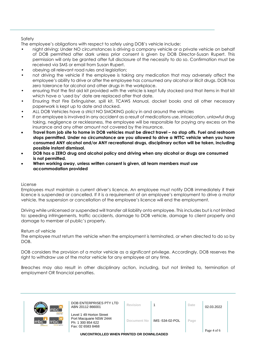# Safety

The employee's obligations with respect to safely using DOB's vehicle include:

- night driving: Under NO circumstances is driving a company vehicle or a private vehicle on behalf of DOB permitted after dark unless prior consent is given by DOB Director-Susan Rupert. This permission will only be granted after full disclosure of the necessity to do so. Confirmation must be received via SMS or email from Susan Rupert.
- obeying all relevant road rules and legislation;
- not driving the vehicle if the employee is taking any medication that may adversely affect the employee's ability to drive or after the employee has consumed any alcohol or illicit drugs. DOB has zero tolerance for alcohol and other drugs in the workplace.
- ensuring that the first aid kit provided with the vehicle is kept fully stocked and that items in that kit which have a 'used by' date are replaced after that date.
- Ensuring that Fire Extinguisher, spill kit, TCAWS Manual, docket books and all other necessary paperwork is kept up to date and stocked.
- ALL DOB Vehicles have a strict NO SMOKING policy in and around the vehicles
- If an employee is involved in any accident as a result of medications use, intoxication, unlawful drug taking, negligence or recklessness, the employee will be responsible for paying any excess on the insurance and any other amount not covered by the insurance.
- **Travel from job site to home in DOB vehicles must be direct travel – no stop offs. Fuel and restroom stops permitted. Under no circumstance are you allowed to drive a WTTC vehicle when you have consumed ANY alcohol and/or ANY recreational drugs, disciplinary action will be taken, including possible instant dismissal.**
- • **DOB has a ZERO drug and alcohol policy and driving when any alcohol or drugs are consumed is not permitted.**
- • **When working away, unless written consent is given, all team members must use accommodation provided**

# License

Employees must maintain a current driver's licence. An employee must notify DOB immediately if their licence is suspended or cancelled. If it is a requirement of an employee's employment to drive a motor vehicle, the suspension or cancellation of the employee's licence will end the employment.

Driving while unlicensed or suspended will transfer all liability onto employee. This includes but is not limited to: speeding infringements, traffic accidents, damage to DOB vehicle, damage to client property and damage to member of public's property.

# Return of vehicle

The employee must return the vehicle when the employment is terminated, or when directed to do so by DOB.

DOB considers the provision of a motor vehicle as a significant privilege. Accordingly, DOB reserves the right to withdraw use of the motor vehicle for any employee at any time.

Breaches may also result in other disciplinary action, including, but not limited to, termination of employment OR financial penalties.

| mbc7                                                                     | DOB ENTERPRISES PTY LTD<br>ABN 20112 866001                                                   | Revision    |                 | Date | 02.03.2022  |  |
|--------------------------------------------------------------------------|-----------------------------------------------------------------------------------------------|-------------|-----------------|------|-------------|--|
| <b>Icloour hire</b><br>mbc<br>mbc<br>m <sub>inte</sub><br>sursing agency | Level 1 49 Horton Street<br>Port Macquarie NSW 2444<br>Ph: 1 300 854 622<br>Fax: 02 6583 8468 | Document No | IMS -534-02-POL | Page | Page 4 of 6 |  |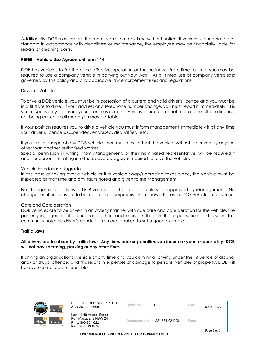Additionally, DOB may inspect the motor vehicle at any time without notice. If vehicle is found not be of standard in accordance with cleanliness or maintenance, the employee may be financially liable for repairs or cleaning costs.

# **REFER - Vehicle Use Agreement form 144**

DOB has vehicles to facilitate the effective operation of the business. From time to time, you may be required to use a company vehicle in carrying out your work. At all times, use of company vehicles is governed by this policy and any applicable law enforcement rules and regulations.

#### Driver of Vehicle

To drive a DOB vehicle, you must be in possession of a current and valid driver's licence and you must be in a fit state to drive. If your address and telephone number change, you must report it immediately. It is your responsibility to ensure your licence is current. Any insurance claim not met as a result of a licence not being current shall mean you may be liable.

If your position requires you to drive a vehicle you must inform management immediately if at any time your driver's licence is suspended, endorsed, disqualified, etc.

If you are in charge of any DOB vehicles, you must ensure that the vehicle will not be driven by anyone other than another authorised worker.

Special permission in writing, from Management, or their nominated representative, will be required if another person not falling into the above category is required to drive the vehicle.

#### Vehicle Handover / Upgrade

In the case of taking over a vehicle or if a vehicle swap/upgrading takes place, the vehicle must be inspected at that time and any faults noted and given to the Management.

No changes or alterations to DOB vehicles are to be made unless first approved by Management. No changes or alterations are to be made that compromise the roadworthiness of DOB vehicles at any time.

#### Care and Consideration

DOB vehicles are to be driven in an orderly manner with due care and consideration for the vehicle, the passengers, equipment carried and other road users. Others in the organisation and also in the community note the driver's conduct. You are required to set a good example.

#### **Traffic Laws**

# **All drivers are to abide by traffic laws. Any fines and/or penalties you incur are your responsibility. DOB will not pay speeding, parking or any other fines.**

If driving an organisational vehicle at any time and you commit a 'driving under the influence of alcohol and/ or drugs' offence, and this results in expenses or damage to persons, vehicles or property, DOB will hold you completely responsible.

| mbc`                                                                     | DOB ENTERPRISES PTY LTD<br>ABN 20112 866001                                                   | Revision    |                 | Date | 02.03.2022  |
|--------------------------------------------------------------------------|-----------------------------------------------------------------------------------------------|-------------|-----------------|------|-------------|
| <b>Jobour hire</b><br>Imbc <sup>1</sup><br>mbc<br>mtc.<br>nursing agency | Level 1 49 Horton Street<br>Port Macquarie NSW 2444<br>Ph: 1 300 854 622<br>Fax: 02 6583 8468 | Document No | IMS -534-02-POL | Page | Page 5 of 6 |